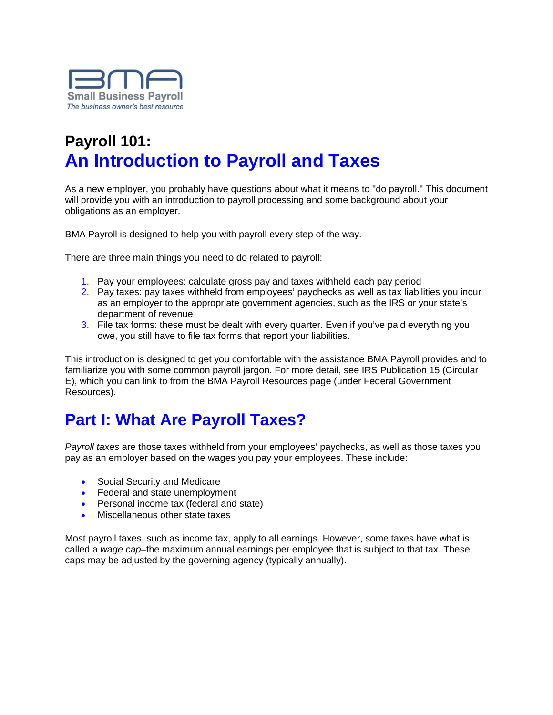

# **Payroll 101: An Introduction to Payroll and Taxes**

As a new employer, you probably have questions about what it means to "do payroll." This document will provide you with an introduction to payroll processing and some background about your obligations as an employer.

BMA Payroll is designed to help you with payroll every step of the way.

There are three main things you need to do related to payroll:

- 1. Pay your employees: calculate gross pay and taxes withheld each pay period
- 2. Pay taxes: pay taxes withheld from employees' paychecks as well as tax liabilities you incur as an employer to the appropriate government agencies, such as the IRS or your state's department of revenue
- 3. File tax forms: these must be dealt with every quarter. Even if you've paid everything you owe, you still have to file tax forms that report your liabilities.

This introduction is designed to get you comfortable with the assistance BMA Payroll provides and to familiarize you with some common payroll jargon. For more detail, see IRS Publication 15 (Circular E), which you can link to from the BMA Payroll Resources page (under Federal Government Resources).

# **Part I: What Are Payroll Taxes?**

*Payroll taxes* are those taxes withheld from your employees' paychecks, as well as those taxes you pay as an employer based on the wages you pay your employees. These include:

- Social Security and Medicare
- Federal and state unemployment
- Personal income tax (federal and state)
- **Miscellaneous other state taxes**

Most payroll taxes, such as income tax, apply to all earnings. However, some taxes have what is called a *wage cap*–the maximum annual earnings per employee that is subject to that tax. These caps may be adjusted by the governing agency (typically annually).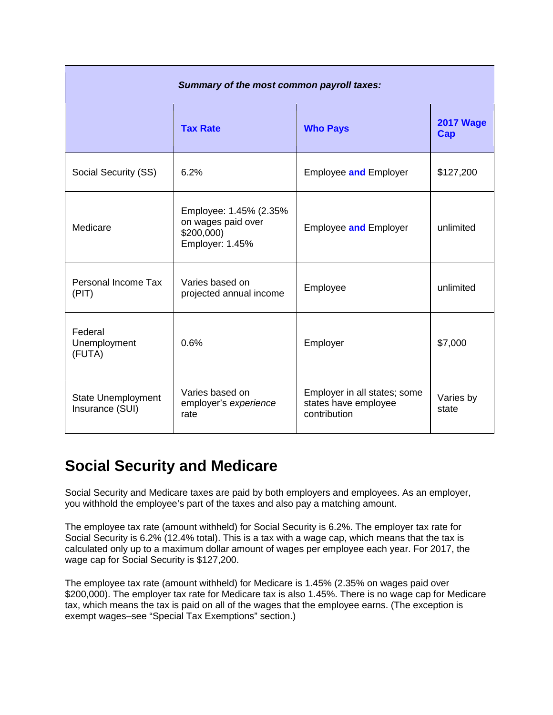| Summary of the most common payroll taxes:    |                                                                               |                                                                      |                         |  |
|----------------------------------------------|-------------------------------------------------------------------------------|----------------------------------------------------------------------|-------------------------|--|
|                                              | <b>Tax Rate</b>                                                               | <b>Who Pays</b>                                                      | <b>2017 Wage</b><br>Cap |  |
| Social Security (SS)                         | 6.2%                                                                          | <b>Employee and Employer</b>                                         | \$127,200               |  |
| Medicare                                     | Employee: 1.45% (2.35%<br>on wages paid over<br>\$200,000)<br>Employer: 1.45% | <b>Employee and Employer</b>                                         | unlimited               |  |
| Personal Income Tax<br>(PIT)                 | Varies based on<br>projected annual income                                    | Employee                                                             | unlimited               |  |
| Federal<br>Unemployment<br>(FUTA)            | 0.6%                                                                          | Employer                                                             | \$7,000                 |  |
| <b>State Unemployment</b><br>Insurance (SUI) | Varies based on<br>employer's experience<br>rate                              | Employer in all states; some<br>states have employee<br>contribution | Varies by<br>state      |  |

## **Social Security and Medicare**

Social Security and Medicare taxes are paid by both employers and employees. As an employer, you withhold the employee's part of the taxes and also pay a matching amount.

The employee tax rate (amount withheld) for Social Security is 6.2%. The employer tax rate for Social Security is 6.2% (12.4% total). This is a tax with a wage cap, which means that the tax is calculated only up to a maximum dollar amount of wages per employee each year. For 2017, the wage cap for Social Security is \$127,200.

The employee tax rate (amount withheld) for Medicare is 1.45% (2.35% on wages paid over \$200,000). The employer tax rate for Medicare tax is also 1.45%. There is no wage cap for Medicare tax, which means the tax is paid on all of the wages that the employee earns. (The exception is exempt wages–see "Special Tax Exemptions" section.)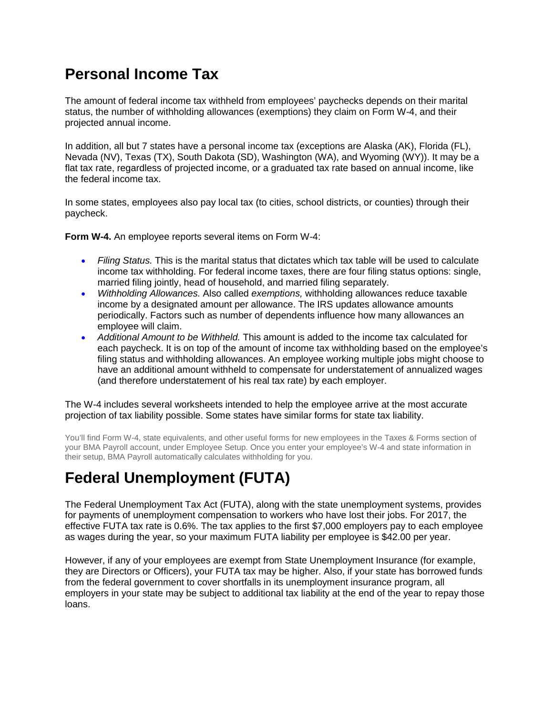## **Personal Income Tax**

The amount of federal income tax withheld from employees' paychecks depends on their marital status, the number of withholding allowances (exemptions) they claim on Form W-4, and their projected annual income.

In addition, all but 7 states have a personal income tax (exceptions are Alaska (AK), Florida (FL), Nevada (NV), Texas (TX), South Dakota (SD), Washington (WA), and Wyoming (WY)). It may be a flat tax rate, regardless of projected income, or a graduated tax rate based on annual income, like the federal income tax.

In some states, employees also pay local tax (to cities, school districts, or counties) through their paycheck.

**Form W-4.** An employee reports several items on Form W-4:

- *Filing Status.* This is the marital status that dictates which tax table will be used to calculate income tax withholding. For federal income taxes, there are four filing status options: single, married filing jointly, head of household, and married filing separately.
- *Withholding Allowances.* Also called *exemptions,* withholding allowances reduce taxable income by a designated amount per allowance. The IRS updates allowance amounts periodically. Factors such as number of dependents influence how many allowances an employee will claim.
- *Additional Amount to be Withheld.* This amount is added to the income tax calculated for each paycheck. It is on top of the amount of income tax withholding based on the employee's filing status and withholding allowances. An employee working multiple jobs might choose to have an additional amount withheld to compensate for understatement of annualized wages (and therefore understatement of his real tax rate) by each employer.

The W-4 includes several worksheets intended to help the employee arrive at the most accurate projection of tax liability possible. Some states have similar forms for state tax liability.

You'll find Form W-4, state equivalents, and other useful forms for new employees in the Taxes & Forms section of your BMA Payroll account, under Employee Setup. Once you enter your employee's W-4 and state information in their setup, BMA Payroll automatically calculates withholding for you.

## **Federal Unemployment (FUTA)**

The Federal Unemployment Tax Act (FUTA), along with the state unemployment systems, provides for payments of unemployment compensation to workers who have lost their jobs. For 2017, the effective FUTA tax rate is 0.6%. The tax applies to the first \$7,000 employers pay to each employee as wages during the year, so your maximum FUTA liability per employee is \$42.00 per year.

However, if any of your employees are exempt from State Unemployment Insurance (for example, they are Directors or Officers), your FUTA tax may be higher. Also, if your state has borrowed funds from the federal government to cover shortfalls in its unemployment insurance program, all employers in your state may be subject to additional tax liability at the end of the year to repay those loans.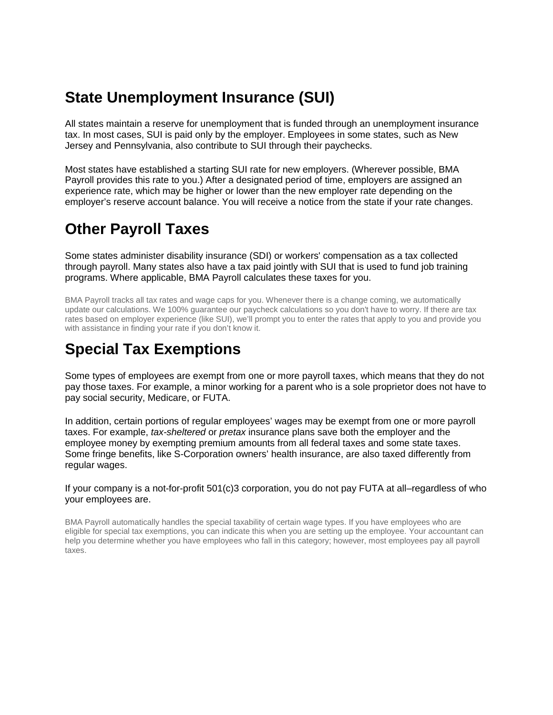### **State Unemployment Insurance (SUI)**

All states maintain a reserve for unemployment that is funded through an unemployment insurance tax. In most cases, SUI is paid only by the employer. Employees in some states, such as New Jersey and Pennsylvania, also contribute to SUI through their paychecks.

Most states have established a starting SUI rate for new employers. (Wherever possible, BMA Payroll provides this rate to you.) After a designated period of time, employers are assigned an experience rate, which may be higher or lower than the new employer rate depending on the employer's reserve account balance. You will receive a notice from the state if your rate changes.

## **Other Payroll Taxes**

Some states administer disability insurance (SDI) or workers' compensation as a tax collected through payroll. Many states also have a tax paid jointly with SUI that is used to fund job training programs. Where applicable, BMA Payroll calculates these taxes for you.

BMA Payroll tracks all tax rates and wage caps for you. Whenever there is a change coming, we automatically update our calculations. We 100% guarantee our paycheck calculations so you don't have to worry. If there are tax rates based on employer experience (like SUI), we'll prompt you to enter the rates that apply to you and provide you with assistance in finding your rate if you don't know it.

## **Special Tax Exemptions**

Some types of employees are exempt from one or more payroll taxes, which means that they do not pay those taxes. For example, a minor working for a parent who is a sole proprietor does not have to pay social security, Medicare, or FUTA.

In addition, certain portions of regular employees' wages may be exempt from one or more payroll taxes. For example, *tax-sheltered* or *pretax* insurance plans save both the employer and the employee money by exempting premium amounts from all federal taxes and some state taxes. Some fringe benefits, like S-Corporation owners' health insurance, are also taxed differently from regular wages.

If your company is a not-for-profit 501(c)3 corporation, you do not pay FUTA at all–regardless of who your employees are.

BMA Payroll automatically handles the special taxability of certain wage types. If you have employees who are eligible for special tax exemptions, you can indicate this when you are setting up the employee. Your accountant can help you determine whether you have employees who fall in this category; however, most employees pay all payroll taxes.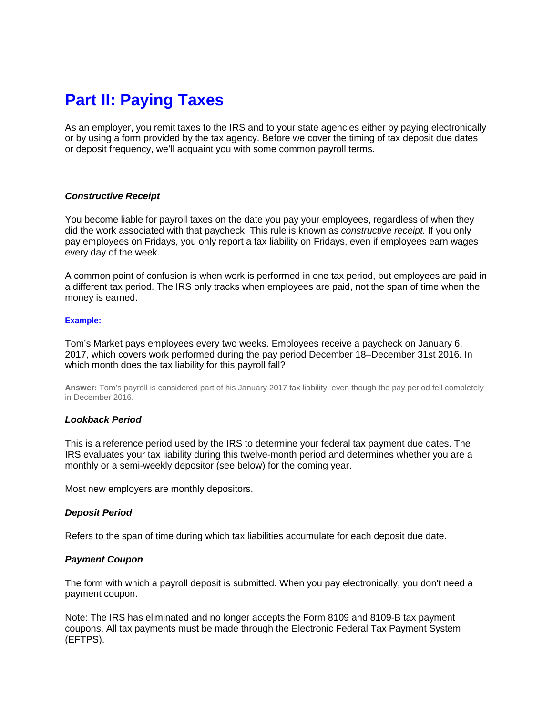## **Part II: Paying Taxes**

As an employer, you remit taxes to the IRS and to your state agencies either by paying electronically or by using a form provided by the tax agency. Before we cover the timing of tax deposit due dates or deposit frequency, we'll acquaint you with some common payroll terms.

#### *Constructive Receipt*

You become liable for payroll taxes on the date you pay your employees, regardless of when they did the work associated with that paycheck. This rule is known as *constructive receipt.* If you only pay employees on Fridays, you only report a tax liability on Fridays, even if employees earn wages every day of the week.

A common point of confusion is when work is performed in one tax period, but employees are paid in a different tax period. The IRS only tracks when employees are paid, not the span of time when the money is earned.

#### **Example:**

Tom's Market pays employees every two weeks. Employees receive a paycheck on January 6, 2017, which covers work performed during the pay period December 18–December 31st 2016. In which month does the tax liability for this payroll fall?

**Answer:** Tom's payroll is considered part of his January 2017 tax liability, even though the pay period fell completely in December 2016.

#### *Lookback Period*

This is a reference period used by the IRS to determine your federal tax payment due dates. The IRS evaluates your tax liability during this twelve-month period and determines whether you are a monthly or a semi-weekly depositor (see below) for the coming year.

Most new employers are monthly depositors.

#### *Deposit Period*

Refers to the span of time during which tax liabilities accumulate for each deposit due date.

#### *Payment Coupon*

The form with which a payroll deposit is submitted. When you pay electronically, you don't need a payment coupon.

Note: The IRS has eliminated and no longer accepts the Form 8109 and 8109-B tax payment coupons. All tax payments must be made through the Electronic Federal Tax Payment System (EFTPS).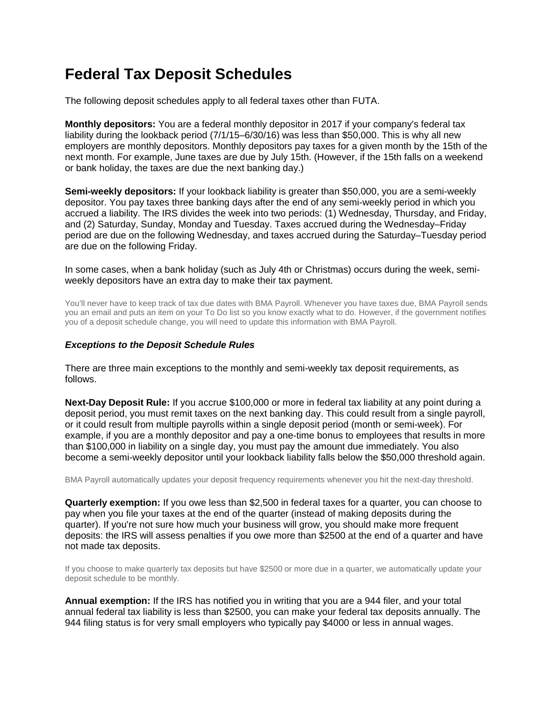## **Federal Tax Deposit Schedules**

The following deposit schedules apply to all federal taxes other than FUTA.

**Monthly depositors:** You are a federal monthly depositor in 2017 if your company's federal tax liability during the lookback period (7/1/15–6/30/16) was less than \$50,000. This is why all new employers are monthly depositors. Monthly depositors pay taxes for a given month by the 15th of the next month. For example, June taxes are due by July 15th. (However, if the 15th falls on a weekend or bank holiday, the taxes are due the next banking day.)

**Semi-weekly depositors:** If your lookback liability is greater than \$50,000, you are a semi-weekly depositor. You pay taxes three banking days after the end of any semi-weekly period in which you accrued a liability. The IRS divides the week into two periods: (1) Wednesday, Thursday, and Friday, and (2) Saturday, Sunday, Monday and Tuesday. Taxes accrued during the Wednesday–Friday period are due on the following Wednesday, and taxes accrued during the Saturday–Tuesday period are due on the following Friday.

In some cases, when a bank holiday (such as July 4th or Christmas) occurs during the week, semiweekly depositors have an extra day to make their tax payment.

You'll never have to keep track of tax due dates with BMA Payroll. Whenever you have taxes due, BMA Payroll sends you an email and puts an item on your To Do list so you know exactly what to do. However, if the government notifies you of a deposit schedule change, you will need to update this information with BMA Payroll.

#### *Exceptions to the Deposit Schedule Rules*

There are three main exceptions to the monthly and semi-weekly tax deposit requirements, as follows.

**Next-Day Deposit Rule:** If you accrue \$100,000 or more in federal tax liability at any point during a deposit period, you must remit taxes on the next banking day. This could result from a single payroll, or it could result from multiple payrolls within a single deposit period (month or semi-week). For example, if you are a monthly depositor and pay a one-time bonus to employees that results in more than \$100,000 in liability on a single day, you must pay the amount due immediately. You also become a semi-weekly depositor until your lookback liability falls below the \$50,000 threshold again.

BMA Payroll automatically updates your deposit frequency requirements whenever you hit the next-day threshold.

**Quarterly exemption:** If you owe less than \$2,500 in federal taxes for a quarter, you can choose to pay when you file your taxes at the end of the quarter (instead of making deposits during the quarter). If you're not sure how much your business will grow, you should make more frequent deposits: the IRS will assess penalties if you owe more than \$2500 at the end of a quarter and have not made tax deposits.

If you choose to make quarterly tax deposits but have \$2500 or more due in a quarter, we automatically update your deposit schedule to be monthly.

**Annual exemption:** If the IRS has notified you in writing that you are a 944 filer, and your total annual federal tax liability is less than \$2500, you can make your federal tax deposits annually. The 944 filing status is for very small employers who typically pay \$4000 or less in annual wages.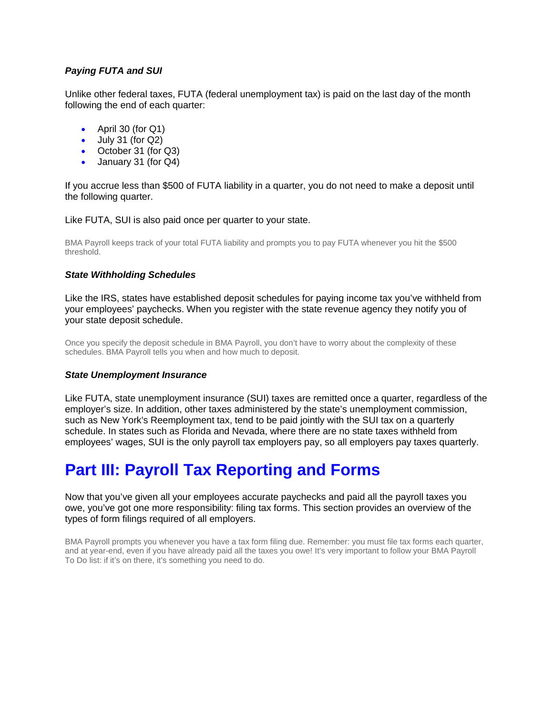### *Paying FUTA and SUI*

Unlike other federal taxes, FUTA (federal unemployment tax) is paid on the last day of the month following the end of each quarter:

- April 30 (for Q1)
- $\bullet$  July 31 (for Q2)
- October 31 (for Q3)
- January 31 (for Q4)

If you accrue less than \$500 of FUTA liability in a quarter, you do not need to make a deposit until the following quarter.

Like FUTA, SUI is also paid once per quarter to your state.

BMA Payroll keeps track of your total FUTA liability and prompts you to pay FUTA whenever you hit the \$500 threshold.

#### *State Withholding Schedules*

Like the IRS, states have established deposit schedules for paying income tax you've withheld from your employees' paychecks. When you register with the state revenue agency they notify you of your state deposit schedule.

Once you specify the deposit schedule in BMA Payroll, you don't have to worry about the complexity of these schedules. BMA Payroll tells you when and how much to deposit.

#### *State Unemployment Insurance*

Like FUTA, state unemployment insurance (SUI) taxes are remitted once a quarter, regardless of the employer's size. In addition, other taxes administered by the state's unemployment commission, such as New York's Reemployment tax, tend to be paid jointly with the SUI tax on a quarterly schedule. In states such as Florida and Nevada, where there are no state taxes withheld from employees' wages, SUI is the only payroll tax employers pay, so all employers pay taxes quarterly.

# **Part III: Payroll Tax Reporting and Forms**

Now that you've given all your employees accurate paychecks and paid all the payroll taxes you owe, you've got one more responsibility: filing tax forms. This section provides an overview of the types of form filings required of all employers.

BMA Payroll prompts you whenever you have a tax form filing due. Remember: you must file tax forms each quarter, and at year-end, even if you have already paid all the taxes you owe! It's very important to follow your BMA Payroll To Do list: if it's on there, it's something you need to do.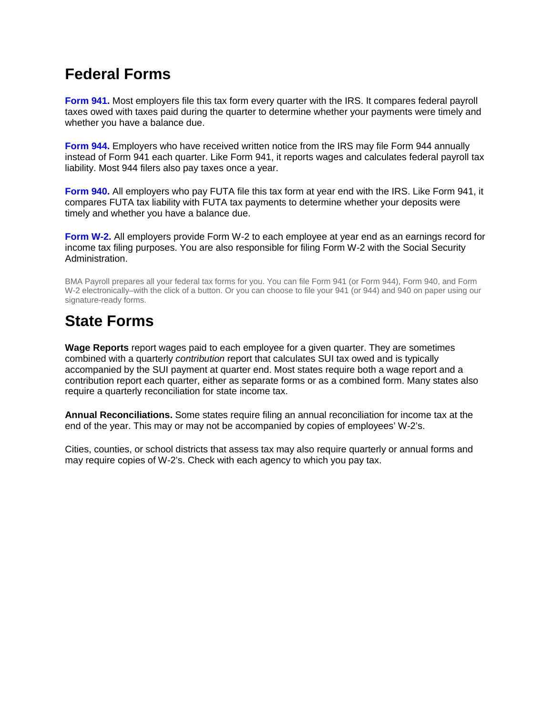## **Federal Forms**

**Form 941.** Most employers file this tax form every quarter with the IRS. It compares federal payroll taxes owed with taxes paid during the quarter to determine whether your payments were timely and whether you have a balance due.

**Form 944.** Employers who have received written notice from the IRS may file Form 944 annually instead of Form 941 each quarter. Like Form 941, it reports wages and calculates federal payroll tax liability. Most 944 filers also pay taxes once a year.

**Form 940.** All employers who pay FUTA file this tax form at year end with the IRS. Like Form 941, it compares FUTA tax liability with FUTA tax payments to determine whether your deposits were timely and whether you have a balance due.

**Form W-2.** All employers provide Form W-2 to each employee at year end as an earnings record for income tax filing purposes. You are also responsible for filing Form W-2 with the Social Security Administration.

BMA Payroll prepares all your federal tax forms for you. You can file Form 941 (or Form 944), Form 940, and Form W-2 electronically–with the click of a button. Or you can choose to file your 941 (or 944) and 940 on paper using our signature-ready forms.

## **State Forms**

**Wage Reports** report wages paid to each employee for a given quarter. They are sometimes combined with a quarterly *contribution* report that calculates SUI tax owed and is typically accompanied by the SUI payment at quarter end. Most states require both a wage report and a contribution report each quarter, either as separate forms or as a combined form. Many states also require a quarterly reconciliation for state income tax.

**Annual Reconciliations.** Some states require filing an annual reconciliation for income tax at the end of the year. This may or may not be accompanied by copies of employees' W-2's.

Cities, counties, or school districts that assess tax may also require quarterly or annual forms and may require copies of W-2's. Check with each agency to which you pay tax.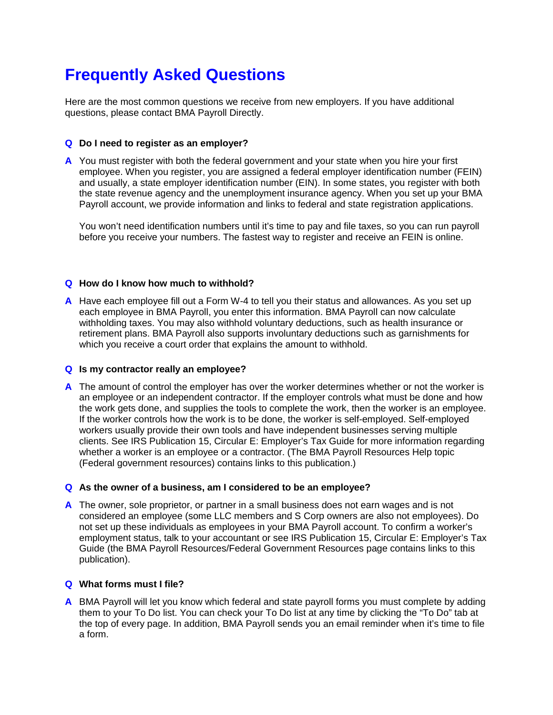# **Frequently Asked Questions**

Here are the most common questions we receive from new employers. If you have additional questions, please contact BMA Payroll Directly.

### **Q Do I need to register as an employer?**

**A** You must register with both the federal government and your state when you hire your first employee. When you register, you are assigned a federal employer identification number (FEIN) and usually, a state employer identification number (EIN). In some states, you register with both the state revenue agency and the unemployment insurance agency. When you set up your BMA Payroll account, we provide information and links to federal and state registration applications.

You won't need identification numbers until it's time to pay and file taxes, so you can run payroll before you receive your numbers. The fastest way to register and receive an FEIN is online.

### **Q How do I know how much to withhold?**

**A** Have each employee fill out a Form W-4 to tell you their status and allowances. As you set up each employee in BMA Payroll, you enter this information. BMA Payroll can now calculate withholding taxes. You may also withhold voluntary deductions, such as health insurance or retirement plans. BMA Payroll also supports involuntary deductions such as garnishments for which you receive a court order that explains the amount to withhold.

#### **Q Is my contractor really an employee?**

**A** The amount of control the employer has over the worker determines whether or not the worker is an employee or an independent contractor. If the employer controls what must be done and how the work gets done, and supplies the tools to complete the work, then the worker is an employee. If the worker controls how the work is to be done, the worker is self-employed. Self-employed workers usually provide their own tools and have independent businesses serving multiple clients. See IRS Publication 15, Circular E: Employer's Tax Guide for more information regarding whether a worker is an employee or a contractor. (The BMA Payroll Resources Help topic (Federal government resources) contains links to this publication.)

#### **Q As the owner of a business, am I considered to be an employee?**

**A** The owner, sole proprietor, or partner in a small business does not earn wages and is not considered an employee (some LLC members and S Corp owners are also not employees). Do not set up these individuals as employees in your BMA Payroll account. To confirm a worker's employment status, talk to your accountant or see IRS Publication 15, Circular E: Employer's Tax Guide (the BMA Payroll Resources/Federal Government Resources page contains links to this publication).

#### **Q What forms must I file?**

**A** BMA Payroll will let you know which federal and state payroll forms you must complete by adding them to your To Do list. You can check your To Do list at any time by clicking the "To Do" tab at the top of every page. In addition, BMA Payroll sends you an email reminder when it's time to file a form.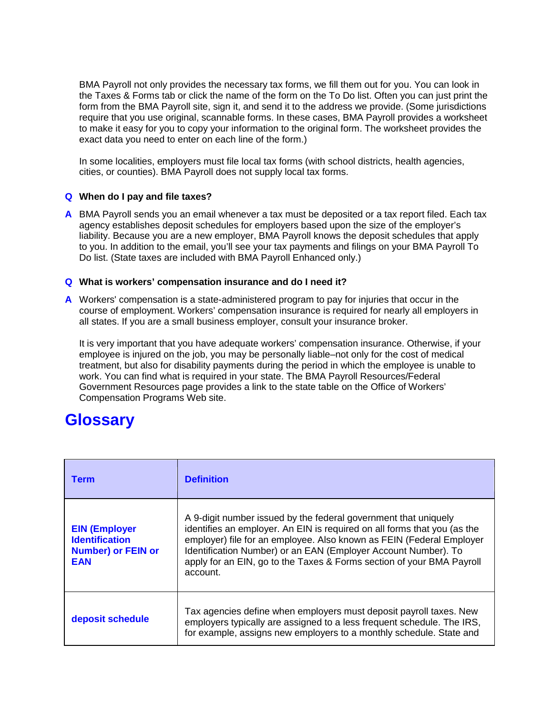BMA Payroll not only provides the necessary tax forms, we fill them out for you. You can look in the Taxes & Forms tab or click the name of the form on the To Do list. Often you can just print the form from the BMA Payroll site, sign it, and send it to the address we provide. (Some jurisdictions require that you use original, scannable forms. In these cases, BMA Payroll provides a worksheet to make it easy for you to copy your information to the original form. The worksheet provides the exact data you need to enter on each line of the form.)

In some localities, employers must file local tax forms (with school districts, health agencies, cities, or counties). BMA Payroll does not supply local tax forms.

### **Q When do I pay and file taxes?**

**A** BMA Payroll sends you an email whenever a tax must be deposited or a tax report filed. Each tax agency establishes deposit schedules for employers based upon the size of the employer's liability. Because you are a new employer, BMA Payroll knows the deposit schedules that apply to you. In addition to the email, you'll see your tax payments and filings on your BMA Payroll To Do list. (State taxes are included with BMA Payroll Enhanced only.)

#### **Q What is workers' compensation insurance and do I need it?**

**A** Workers' compensation is a state-administered program to pay for injuries that occur in the course of employment. Workers' compensation insurance is required for nearly all employers in all states. If you are a small business employer, consult your insurance broker.

It is very important that you have adequate workers' compensation insurance. Otherwise, if your employee is injured on the job, you may be personally liable–not only for the cost of medical treatment, but also for disability payments during the period in which the employee is unable to work. You can find what is required in your state. The BMA Payroll Resources/Federal Government Resources page provides a link to the state table on the Office of Workers' Compensation Programs Web site.

### **Glossary**

| <b>Term</b>                                                                              | <b>Definition</b>                                                                                                                                                                                                                                                                                                                                                          |  |
|------------------------------------------------------------------------------------------|----------------------------------------------------------------------------------------------------------------------------------------------------------------------------------------------------------------------------------------------------------------------------------------------------------------------------------------------------------------------------|--|
| <b>EIN (Employer</b><br><b>Identification</b><br><b>Number) or FEIN or</b><br><b>EAN</b> | A 9-digit number issued by the federal government that uniquely<br>identifies an employer. An EIN is required on all forms that you (as the<br>employer) file for an employee. Also known as FEIN (Federal Employer<br>Identification Number) or an EAN (Employer Account Number). To<br>apply for an EIN, go to the Taxes & Forms section of your BMA Payroll<br>account. |  |
| deposit schedule                                                                         | Tax agencies define when employers must deposit payroll taxes. New<br>employers typically are assigned to a less frequent schedule. The IRS,<br>for example, assigns new employers to a monthly schedule. State and                                                                                                                                                        |  |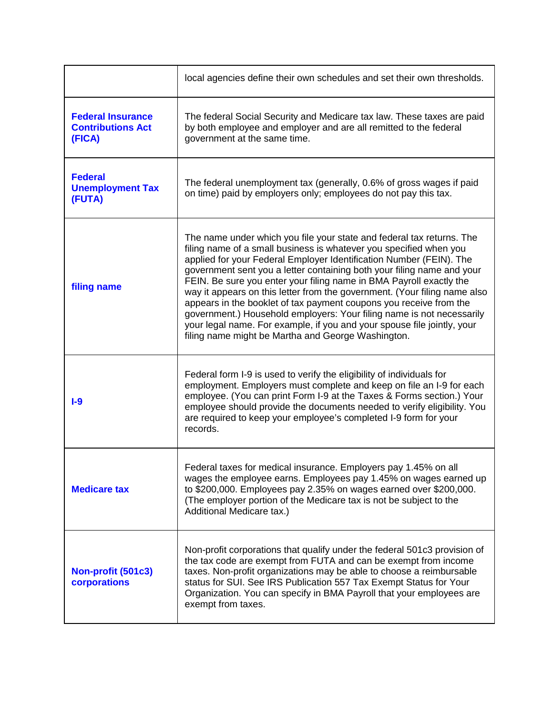|                                                                | local agencies define their own schedules and set their own thresholds.                                                                                                                                                                                                                                                                                                                                                                                                                                                                                                                                                                                                                                                          |  |
|----------------------------------------------------------------|----------------------------------------------------------------------------------------------------------------------------------------------------------------------------------------------------------------------------------------------------------------------------------------------------------------------------------------------------------------------------------------------------------------------------------------------------------------------------------------------------------------------------------------------------------------------------------------------------------------------------------------------------------------------------------------------------------------------------------|--|
| <b>Federal Insurance</b><br><b>Contributions Act</b><br>(FICA) | The federal Social Security and Medicare tax law. These taxes are paid<br>by both employee and employer and are all remitted to the federal<br>government at the same time.                                                                                                                                                                                                                                                                                                                                                                                                                                                                                                                                                      |  |
| <b>Federal</b><br><b>Unemployment Tax</b><br>(FUTA)            | The federal unemployment tax (generally, 0.6% of gross wages if paid<br>on time) paid by employers only; employees do not pay this tax.                                                                                                                                                                                                                                                                                                                                                                                                                                                                                                                                                                                          |  |
| filing name                                                    | The name under which you file your state and federal tax returns. The<br>filing name of a small business is whatever you specified when you<br>applied for your Federal Employer Identification Number (FEIN). The<br>government sent you a letter containing both your filing name and your<br>FEIN. Be sure you enter your filing name in BMA Payroll exactly the<br>way it appears on this letter from the government. (Your filing name also<br>appears in the booklet of tax payment coupons you receive from the<br>government.) Household employers: Your filing name is not necessarily<br>your legal name. For example, if you and your spouse file jointly, your<br>filing name might be Martha and George Washington. |  |
| $1-9$                                                          | Federal form I-9 is used to verify the eligibility of individuals for<br>employment. Employers must complete and keep on file an I-9 for each<br>employee. (You can print Form I-9 at the Taxes & Forms section.) Your<br>employee should provide the documents needed to verify eligibility. You<br>are required to keep your employee's completed I-9 form for your<br>records.                                                                                                                                                                                                                                                                                                                                                |  |
| <b>Medicare tax</b>                                            | Federal taxes for medical insurance. Employers pay 1.45% on all<br>wages the employee earns. Employees pay 1.45% on wages earned up<br>to \$200,000. Employees pay 2.35% on wages earned over \$200,000.<br>(The employer portion of the Medicare tax is not be subject to the<br>Additional Medicare tax.)                                                                                                                                                                                                                                                                                                                                                                                                                      |  |
| Non-profit (501c3)<br>corporations                             | Non-profit corporations that qualify under the federal 501c3 provision of<br>the tax code are exempt from FUTA and can be exempt from income<br>taxes. Non-profit organizations may be able to choose a reimbursable<br>status for SUI. See IRS Publication 557 Tax Exempt Status for Your<br>Organization. You can specify in BMA Payroll that your employees are<br>exempt from taxes.                                                                                                                                                                                                                                                                                                                                         |  |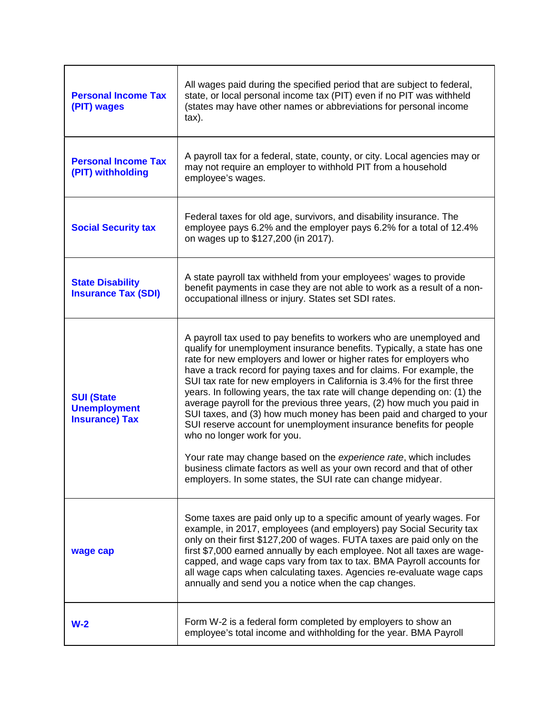| <b>Personal Income Tax</b><br>(PIT) wages                         | All wages paid during the specified period that are subject to federal,<br>state, or local personal income tax (PIT) even if no PIT was withheld<br>(states may have other names or abbreviations for personal income<br>$\text{tax}$ ).                                                                                                                                                                                                                                                                                                                                                                                                                                                                                                                                                                                                                                                                                   |
|-------------------------------------------------------------------|----------------------------------------------------------------------------------------------------------------------------------------------------------------------------------------------------------------------------------------------------------------------------------------------------------------------------------------------------------------------------------------------------------------------------------------------------------------------------------------------------------------------------------------------------------------------------------------------------------------------------------------------------------------------------------------------------------------------------------------------------------------------------------------------------------------------------------------------------------------------------------------------------------------------------|
| <b>Personal Income Tax</b><br>(PIT) withholding                   | A payroll tax for a federal, state, county, or city. Local agencies may or<br>may not require an employer to withhold PIT from a household<br>employee's wages.                                                                                                                                                                                                                                                                                                                                                                                                                                                                                                                                                                                                                                                                                                                                                            |
| <b>Social Security tax</b>                                        | Federal taxes for old age, survivors, and disability insurance. The<br>employee pays 6.2% and the employer pays 6.2% for a total of 12.4%<br>on wages up to \$127,200 (in 2017).                                                                                                                                                                                                                                                                                                                                                                                                                                                                                                                                                                                                                                                                                                                                           |
| <b>State Disability</b><br><b>Insurance Tax (SDI)</b>             | A state payroll tax withheld from your employees' wages to provide<br>benefit payments in case they are not able to work as a result of a non-<br>occupational illness or injury. States set SDI rates.                                                                                                                                                                                                                                                                                                                                                                                                                                                                                                                                                                                                                                                                                                                    |
| <b>SUI (State</b><br><b>Unemployment</b><br><b>Insurance) Tax</b> | A payroll tax used to pay benefits to workers who are unemployed and<br>qualify for unemployment insurance benefits. Typically, a state has one<br>rate for new employers and lower or higher rates for employers who<br>have a track record for paying taxes and for claims. For example, the<br>SUI tax rate for new employers in California is 3.4% for the first three<br>years. In following years, the tax rate will change depending on: (1) the<br>average payroll for the previous three years, (2) how much you paid in<br>SUI taxes, and (3) how much money has been paid and charged to your<br>SUI reserve account for unemployment insurance benefits for people<br>who no longer work for you.<br>Your rate may change based on the experience rate, which includes<br>business climate factors as well as your own record and that of other<br>employers. In some states, the SUI rate can change midyear. |
| wage cap                                                          | Some taxes are paid only up to a specific amount of yearly wages. For<br>example, in 2017, employees (and employers) pay Social Security tax<br>only on their first \$127,200 of wages. FUTA taxes are paid only on the<br>first \$7,000 earned annually by each employee. Not all taxes are wage-<br>capped, and wage caps vary from tax to tax. BMA Payroll accounts for<br>all wage caps when calculating taxes. Agencies re-evaluate wage caps<br>annually and send you a notice when the cap changes.                                                                                                                                                                                                                                                                                                                                                                                                                 |
| $W-2$                                                             | Form W-2 is a federal form completed by employers to show an<br>employee's total income and withholding for the year. BMA Payroll                                                                                                                                                                                                                                                                                                                                                                                                                                                                                                                                                                                                                                                                                                                                                                                          |